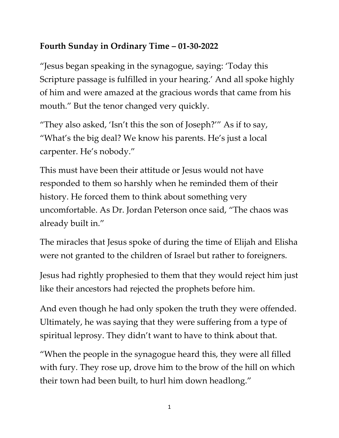## **Fourth Sunday in Ordinary Time – 01-30-2022**

"Jesus began speaking in the synagogue, saying: 'Today this Scripture passage is fulfilled in your hearing.' And all spoke highly of him and were amazed at the gracious words that came from his mouth." But the tenor changed very quickly.

"They also asked, 'Isn't this the son of Joseph?'" As if to say, "What's the big deal? We know his parents. He's just a local carpenter. He's nobody."

This must have been their attitude or Jesus would not have responded to them so harshly when he reminded them of their history. He forced them to think about something very uncomfortable. As Dr. Jordan Peterson once said, "The chaos was already built in."

The miracles that Jesus spoke of during the time of Elijah and Elisha were not granted to the children of Israel but rather to foreigners.

Jesus had rightly prophesied to them that they would reject him just like their ancestors had rejected the prophets before him.

And even though he had only spoken the truth they were offended. Ultimately, he was saying that they were suffering from a type of spiritual leprosy. They didn't want to have to think about that.

"When the people in the synagogue heard this, they were all filled with fury. They rose up, drove him to the brow of the hill on which their town had been built, to hurl him down headlong."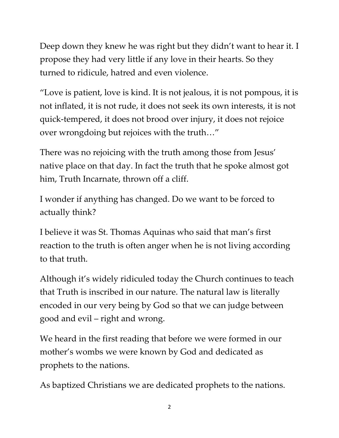Deep down they knew he was right but they didn't want to hear it. I propose they had very little if any love in their hearts. So they turned to ridicule, hatred and even violence.

"Love is patient, love is kind. It is not jealous, it is not pompous, it is not inflated, it is not rude, it does not seek its own interests, it is not quick-tempered, it does not brood over injury, it does not rejoice over wrongdoing but rejoices with the truth…"

There was no rejoicing with the truth among those from Jesus' native place on that day. In fact the truth that he spoke almost got him, Truth Incarnate, thrown off a cliff.

I wonder if anything has changed. Do we want to be forced to actually think?

I believe it was St. Thomas Aquinas who said that man's first reaction to the truth is often anger when he is not living according to that truth.

Although it's widely ridiculed today the Church continues to teach that Truth is inscribed in our nature. The natural law is literally encoded in our very being by God so that we can judge between good and evil – right and wrong.

We heard in the first reading that before we were formed in our mother's wombs we were known by God and dedicated as prophets to the nations.

As baptized Christians we are dedicated prophets to the nations.